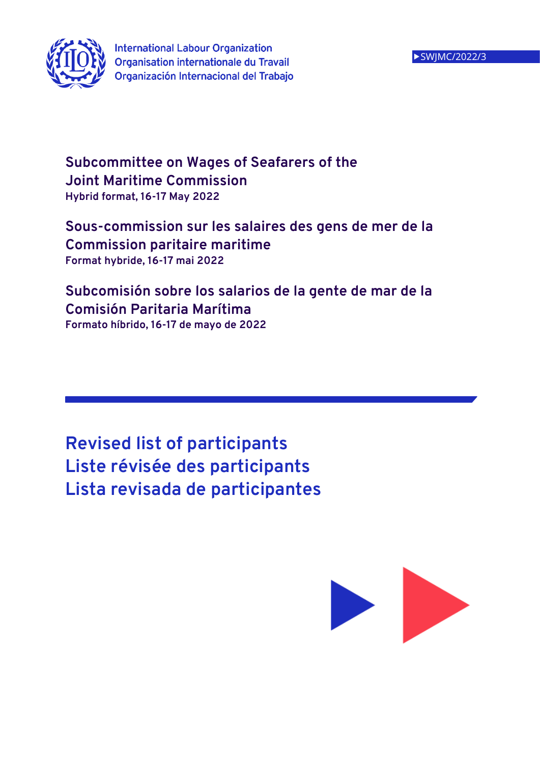

# **Subcommittee on Wages of Seafarers of the Joint Maritime Commission Hybrid format, 16-17 May 2022**

# **Sous-commission sur les salaires des gens de mer de la Commission paritaire maritime Format hybride, 16-17 mai 2022**

# **Subcomisión sobre los salarios de la gente de mar de la Comisión Paritaria Marítima**

**Formato híbrido, 16-17 de mayo de 2022**

**Revised list of participants Liste révisée des participants Lista revisada de participantes**

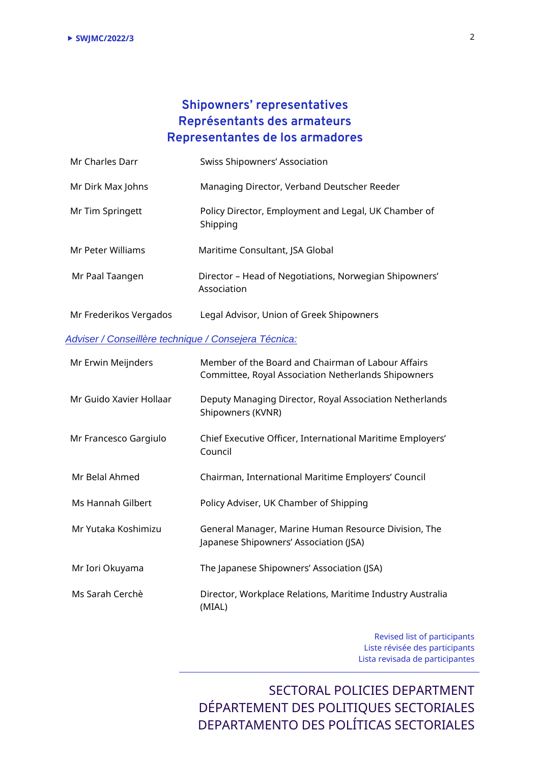### **Shipowners' representatives Représentants des armateurs Representantes de los armadores**

| Mr Charles Darr                                      | Swiss Shipowners' Association                                                                             |  |
|------------------------------------------------------|-----------------------------------------------------------------------------------------------------------|--|
| Mr Dirk Max Johns                                    | Managing Director, Verband Deutscher Reeder                                                               |  |
| Mr Tim Springett                                     | Policy Director, Employment and Legal, UK Chamber of<br>Shipping                                          |  |
| Mr Peter Williams                                    | Maritime Consultant, JSA Global                                                                           |  |
| Mr Paal Taangen                                      | Director - Head of Negotiations, Norwegian Shipowners'<br>Association                                     |  |
| Mr Frederikos Vergados                               | Legal Advisor, Union of Greek Shipowners                                                                  |  |
| Adviser / Conseillère technique / Consejera Técnica: |                                                                                                           |  |
| Mr Erwin Meijnders                                   | Member of the Board and Chairman of Labour Affairs<br>Committee, Royal Association Netherlands Shipowners |  |
| Mr Guido Xavier Hollaar                              | Deputy Managing Director, Royal Association Netherlands<br>Shipowners (KVNR)                              |  |
| Mr Francesco Gargiulo                                | Chief Executive Officer, International Maritime Employers'<br>Council                                     |  |
| Mr Belal Ahmed                                       | Chairman, International Maritime Employers' Council                                                       |  |
| Ms Hannah Gilbert                                    | Policy Adviser, UK Chamber of Shipping                                                                    |  |
| Mr Yutaka Koshimizu                                  | General Manager, Marine Human Resource Division, The<br>Japanese Shipowners' Association (JSA)            |  |
| Mr Iori Okuyama                                      | The Japanese Shipowners' Association (JSA)                                                                |  |
| Ms Sarah Cerchè                                      | Director, Workplace Relations, Maritime Industry Australia                                                |  |

(MIAL)

Revised list of participants Liste révisée des participants Lista revisada de participantes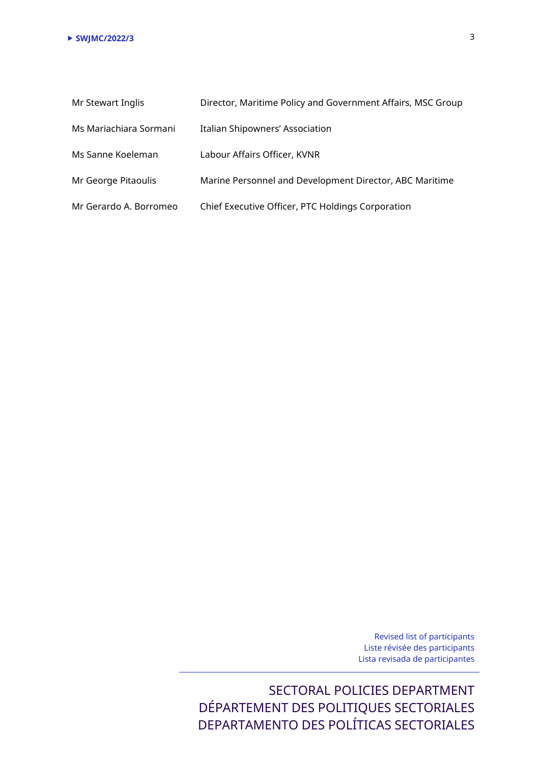| Mr Stewart Inglis      | Director, Maritime Policy and Government Affairs, MSC Group |
|------------------------|-------------------------------------------------------------|
| Ms Mariachiara Sormani | Italian Shipowners' Association                             |
| Ms Sanne Koeleman      | Labour Affairs Officer, KVNR                                |
| Mr George Pitaoulis    | Marine Personnel and Development Director, ABC Maritime     |
| Mr Gerardo A. Borromeo | Chief Executive Officer, PTC Holdings Corporation           |

Revised list of participants Liste révisée des participants Lista revisada de participantes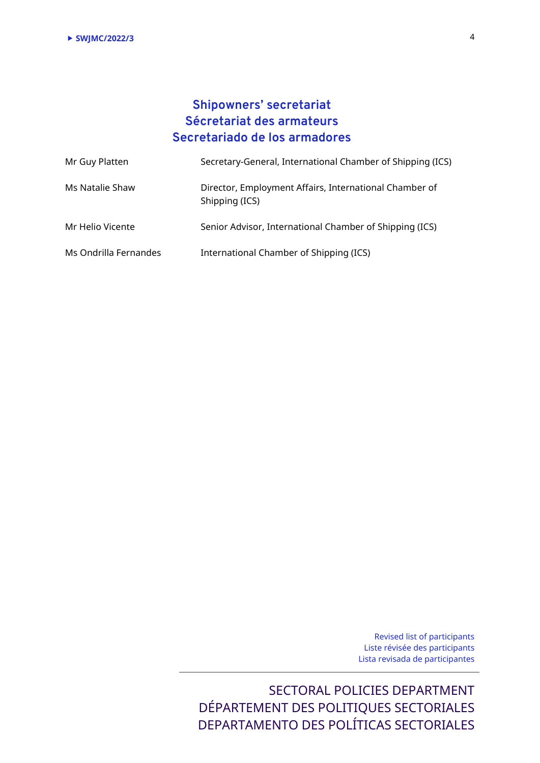## **Shipowners' secretariat Sécretariat des armateurs Secretariado de los armadores**

| Mr Guy Platten        | Secretary-General, International Chamber of Shipping (ICS)               |
|-----------------------|--------------------------------------------------------------------------|
| Ms Natalie Shaw       | Director, Employment Affairs, International Chamber of<br>Shipping (ICS) |
| Mr Helio Vicente      | Senior Advisor, International Chamber of Shipping (ICS)                  |
| Ms Ondrilla Fernandes | International Chamber of Shipping (ICS)                                  |

Revised list of participants Liste révisée des participants Lista revisada de participantes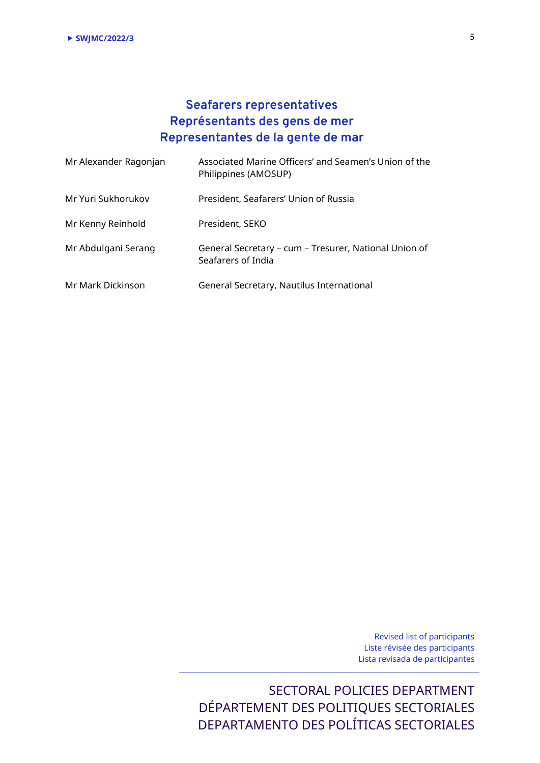### **Seafarers representatives Représentants des gens de mer Representantes de la gente de mar**

| Mr Alexander Ragonjan | Associated Marine Officers' and Seamen's Union of the<br>Philippines (AMOSUP) |
|-----------------------|-------------------------------------------------------------------------------|
| Mr Yuri Sukhorukov    | President, Seafarers' Union of Russia                                         |
| Mr Kenny Reinhold     | President, SEKO                                                               |
| Mr Abdulgani Serang   | General Secretary - cum - Tresurer, National Union of<br>Seafarers of India   |
| Mr Mark Dickinson     | General Secretary, Nautilus International                                     |

Revised list of participants Liste révisée des participants Lista revisada de participantes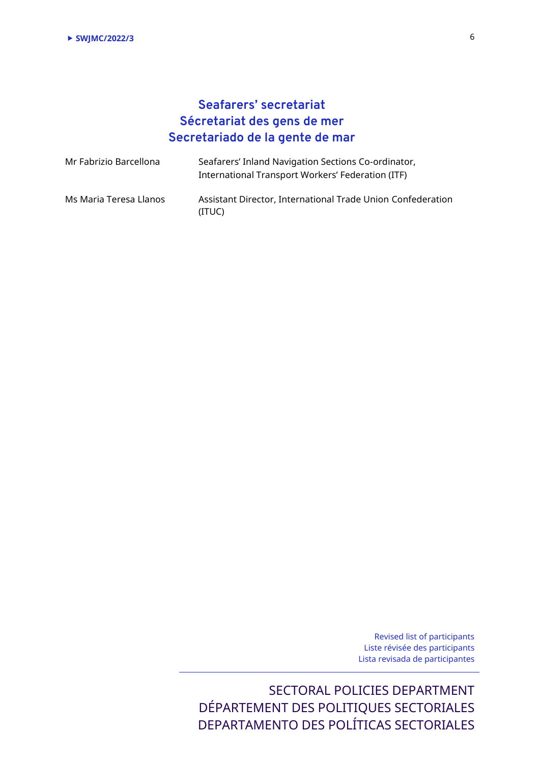## **Seafarers' secretariat Sécretariat des gens de mer Secretariado de la gente de mar**

| Mr Fabrizio Barcellona | Seafarers' Inland Navigation Sections Co-ordinator,<br>International Transport Workers' Federation (ITF) |
|------------------------|----------------------------------------------------------------------------------------------------------|
| Ms Maria Teresa Llanos | Assistant Director, International Trade Union Confederation<br>(ITUC)                                    |

Revised list of participants Liste révisée des participants Lista revisada de participantes